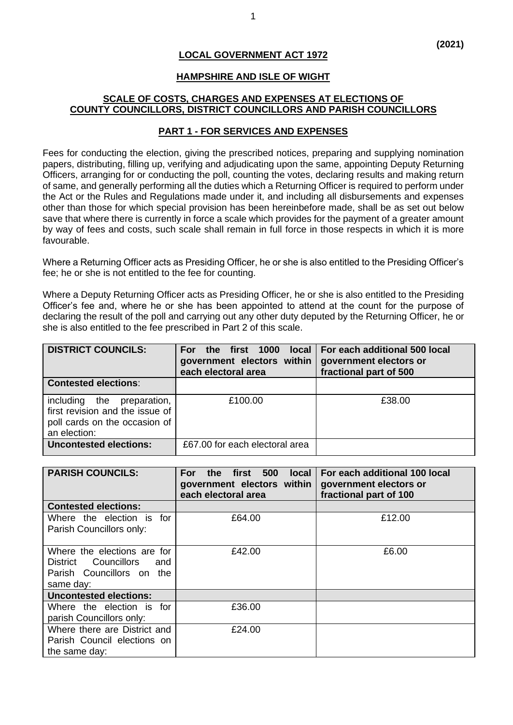# **LOCAL GOVERNMENT ACT 1972**

#### **HAMPSHIRE AND ISLE OF WIGHT**

## **SCALE OF COSTS, CHARGES AND EXPENSES AT ELECTIONS OF COUNTY COUNCILLORS, DISTRICT COUNCILLORS AND PARISH COUNCILLORS**

### **PART 1 - FOR SERVICES AND EXPENSES**

Fees for conducting the election, giving the prescribed notices, preparing and supplying nomination papers, distributing, filling up, verifying and adjudicating upon the same, appointing Deputy Returning Officers, arranging for or conducting the poll, counting the votes, declaring results and making return of same, and generally performing all the duties which a Returning Officer is required to perform under the Act or the Rules and Regulations made under it, and including all disbursements and expenses other than those for which special provision has been hereinbefore made, shall be as set out below save that where there is currently in force a scale which provides for the payment of a greater amount by way of fees and costs, such scale shall remain in full force in those respects in which it is more favourable.

Where a Returning Officer acts as Presiding Officer, he or she is also entitled to the Presiding Officer's fee; he or she is not entitled to the fee for counting.

Where a Deputy Returning Officer acts as Presiding Officer, he or she is also entitled to the Presiding Officer's fee and, where he or she has been appointed to attend at the count for the purpose of declaring the result of the poll and carrying out any other duty deputed by the Returning Officer, he or she is also entitled to the fee prescribed in Part 2 of this scale.

| <b>DISTRICT COUNCILS:</b>                                                                                      | For<br>government electors within<br>each electoral area | the first 1000 local For each additional 500 local<br>government electors or<br>fractional part of 500 |
|----------------------------------------------------------------------------------------------------------------|----------------------------------------------------------|--------------------------------------------------------------------------------------------------------|
| <b>Contested elections:</b>                                                                                    |                                                          |                                                                                                        |
| including the preparation,<br>first revision and the issue of<br>poll cards on the occasion of<br>an election: | £100.00                                                  | £38.00                                                                                                 |
| <b>Uncontested elections:</b>                                                                                  | £67,00 for each electoral area                           |                                                                                                        |

| <b>PARISH COUNCILS:</b>                                                                              | 500<br>the first<br>local<br>For:<br>government electors within<br>each electoral area | For each additional 100 local<br>government electors or<br>fractional part of 100 |
|------------------------------------------------------------------------------------------------------|----------------------------------------------------------------------------------------|-----------------------------------------------------------------------------------|
| <b>Contested elections:</b>                                                                          |                                                                                        |                                                                                   |
| Where the election is for<br>Parish Councillors only:                                                | £64.00                                                                                 | £12.00                                                                            |
| Where the elections are for<br>District Councillors<br>and<br>Parish Councillors on the<br>same day: | £42.00                                                                                 | £6.00                                                                             |
| <b>Uncontested elections:</b>                                                                        |                                                                                        |                                                                                   |
| Where the election is for<br>parish Councillors only:                                                | £36.00                                                                                 |                                                                                   |
| Where there are District and<br>Parish Council elections on<br>the same day:                         | £24.00                                                                                 |                                                                                   |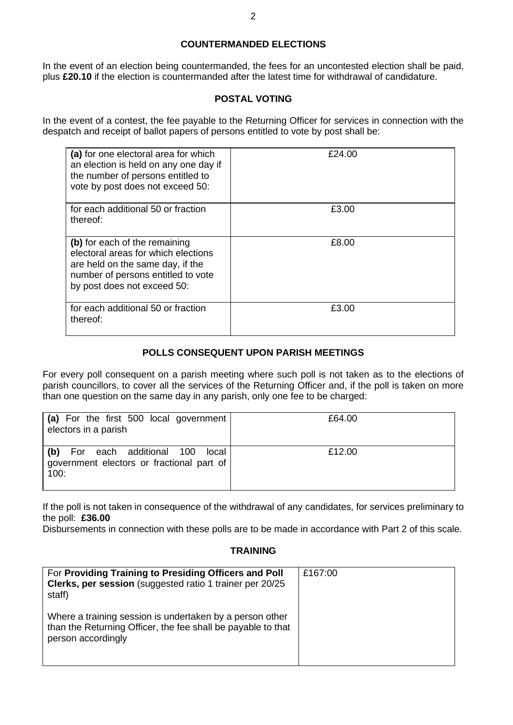# **COUNTERMANDED ELECTIONS**

In the event of an election being countermanded, the fees for an uncontested election shall be paid, plus **£20.10** if the election is countermanded after the latest time for withdrawal of candidature.

## **POSTAL VOTING**

In the event of a contest, the fee payable to the Returning Officer for services in connection with the despatch and receipt of ballot papers of persons entitled to vote by post shall be:

| (a) for one electoral area for which<br>an election is held on any one day if<br>the number of persons entitled to<br>vote by post does not exceed 50:                        | £24.00 |
|-------------------------------------------------------------------------------------------------------------------------------------------------------------------------------|--------|
| for each additional 50 or fraction<br>thereof:                                                                                                                                | £3.00  |
| (b) for each of the remaining<br>electoral areas for which elections<br>are held on the same day, if the<br>number of persons entitled to vote<br>by post does not exceed 50: | £8.00  |
| for each additional 50 or fraction<br>thereof:                                                                                                                                | £3.00  |

# **POLLS CONSEQUENT UPON PARISH MEETINGS**

For every poll consequent on a parish meeting where such poll is not taken as to the elections of parish councillors, to cover all the services of the Returning Officer and, if the poll is taken on more than one question on the same day in any parish, only one fee to be charged:

| (a) For the first 500 local government<br>electors in a parish                         | £64.00 |
|----------------------------------------------------------------------------------------|--------|
| (b) For each additional 100 local<br>government electors or fractional part of<br>100: | £12.00 |

If the poll is not taken in consequence of the withdrawal of any candidates, for services preliminary to the poll: **£36.00**

Disbursements in connection with these polls are to be made in accordance with Part 2 of this scale.

#### **TRAINING**

| For Providing Training to Presiding Officers and Poll<br>Clerks, per session (suggested ratio 1 trainer per 20/25<br>staff)                    | £167:00 |
|------------------------------------------------------------------------------------------------------------------------------------------------|---------|
| Where a training session is undertaken by a person other<br>than the Returning Officer, the fee shall be payable to that<br>person accordingly |         |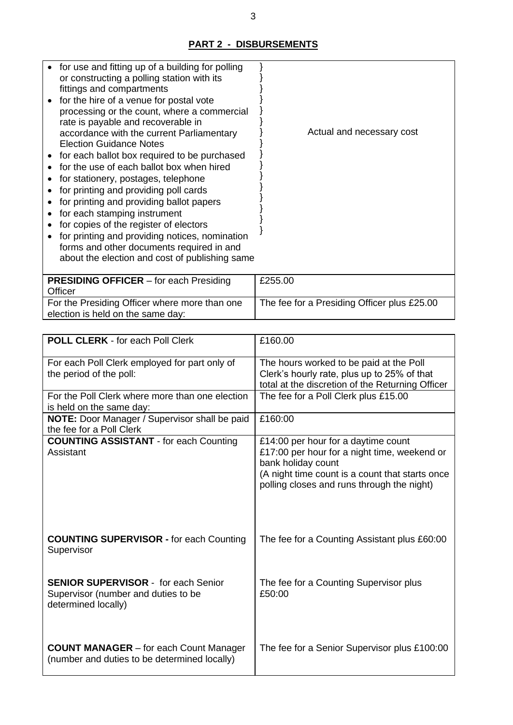# **PART 2 - DISBURSEMENTS**

| for use and fitting up of a building for polling<br>or constructing a polling station with its |                                             |
|------------------------------------------------------------------------------------------------|---------------------------------------------|
| fittings and compartments                                                                      |                                             |
| for the hire of a venue for postal vote<br>processing or the count, where a commercial         |                                             |
| rate is payable and recoverable in                                                             |                                             |
| accordance with the current Parliamentary                                                      | Actual and necessary cost                   |
| <b>Election Guidance Notes</b>                                                                 |                                             |
| for each ballot box required to be purchased                                                   |                                             |
| for the use of each ballot box when hired                                                      |                                             |
| for stationery, postages, telephone                                                            |                                             |
| for printing and providing poll cards                                                          |                                             |
| for printing and providing ballot papers                                                       |                                             |
| for each stamping instrument                                                                   |                                             |
| for copies of the register of electors                                                         |                                             |
| for printing and providing notices, nomination                                                 |                                             |
| forms and other documents required in and                                                      |                                             |
| about the election and cost of publishing same                                                 |                                             |
|                                                                                                |                                             |
| <b>PRESIDING OFFICER</b> – for each Presiding<br>Officer                                       | £255.00                                     |
| For the Presiding Officer where more than one                                                  | The fee for a Presiding Officer plus £25.00 |
|                                                                                                |                                             |

| <b>TOI</b> the Freshang Union where it |  |
|----------------------------------------|--|
| election is held on the same day:      |  |

| <b>POLL CLERK - for each Poll Clerk</b>         | £160.00                                                                                       |
|-------------------------------------------------|-----------------------------------------------------------------------------------------------|
| For each Poll Clerk employed for part only of   | The hours worked to be paid at the Poll                                                       |
| the period of the poll:                         | Clerk's hourly rate, plus up to 25% of that                                                   |
| For the Poll Clerk where more than one election | total at the discretion of the Returning Officer<br>The fee for a Poll Clerk plus £15.00      |
| is held on the same day:                        |                                                                                               |
| NOTE: Door Manager / Supervisor shall be paid   | £160:00                                                                                       |
| the fee for a Poll Clerk                        |                                                                                               |
| <b>COUNTING ASSISTANT - for each Counting</b>   | £14:00 per hour for a daytime count                                                           |
| Assistant                                       | £17:00 per hour for a night time, weekend or                                                  |
|                                                 | bank holiday count                                                                            |
|                                                 | (A night time count is a count that starts once<br>polling closes and runs through the night) |
|                                                 |                                                                                               |
|                                                 |                                                                                               |
|                                                 |                                                                                               |
|                                                 |                                                                                               |
| <b>COUNTING SUPERVISOR - for each Counting</b>  | The fee for a Counting Assistant plus £60:00                                                  |
| Supervisor                                      |                                                                                               |
|                                                 |                                                                                               |
| <b>SENIOR SUPERVISOR - for each Senior</b>      | The fee for a Counting Supervisor plus                                                        |
| Supervisor (number and duties to be             | £50:00                                                                                        |
| determined locally)                             |                                                                                               |
|                                                 |                                                                                               |
|                                                 |                                                                                               |
| <b>COUNT MANAGER</b> – for each Count Manager   | The fee for a Senior Supervisor plus £100:00                                                  |
| (number and duties to be determined locally)    |                                                                                               |
|                                                 |                                                                                               |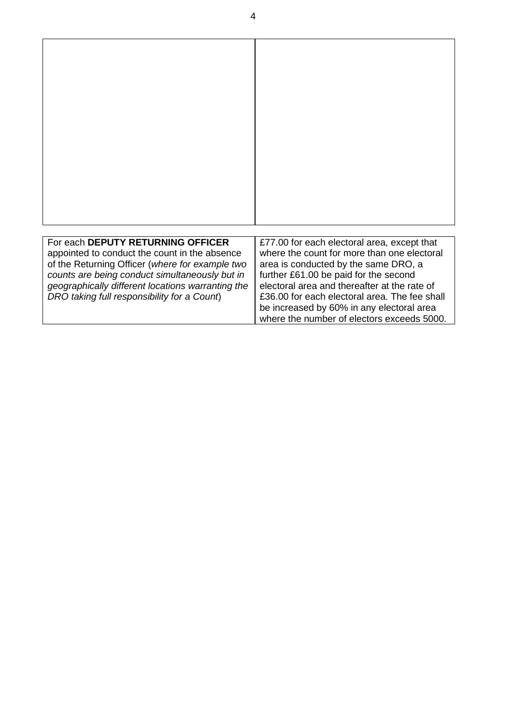| For each DEPUTY RETURNING OFFICER<br>appointed to conduct the count in the absence<br>of the Returning Officer (where for example two<br>counts are being conduct simultaneously but in<br>geographically different locations warranting the<br>DRO taking full responsibility for a Count) | £77.00 for each electoral area, except that<br>where the count for more than one electoral<br>area is conducted by the same DRO, a<br>further £61.00 be paid for the second<br>electoral area and thereafter at the rate of<br>£36.00 for each electoral area. The fee shall<br>be increased by 60% in any electoral area<br>where the number of electors exceeds 5000. |
|---------------------------------------------------------------------------------------------------------------------------------------------------------------------------------------------------------------------------------------------------------------------------------------------|-------------------------------------------------------------------------------------------------------------------------------------------------------------------------------------------------------------------------------------------------------------------------------------------------------------------------------------------------------------------------|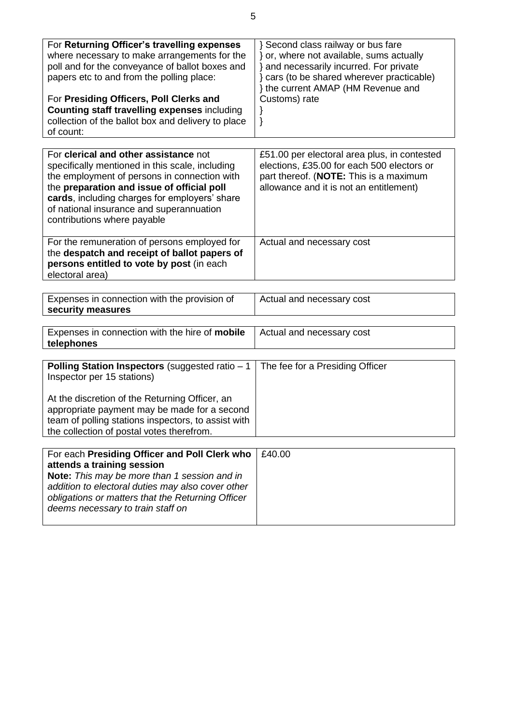| For Returning Officer's travelling expenses<br>where necessary to make arrangements for the<br>poll and for the conveyance of ballot boxes and<br>papers etc to and from the polling place:<br>For Presiding Officers, Poll Clerks and<br><b>Counting staff travelling expenses including</b><br>collection of the ballot box and delivery to place<br>of count: | } Second class railway or bus fare<br>or, where not available, sums actually<br>} and necessarily incurred. For private<br>} cars (to be shared wherever practicable)<br>} the current AMAP (HM Revenue and<br>Customs) rate<br>} |
|------------------------------------------------------------------------------------------------------------------------------------------------------------------------------------------------------------------------------------------------------------------------------------------------------------------------------------------------------------------|-----------------------------------------------------------------------------------------------------------------------------------------------------------------------------------------------------------------------------------|
|                                                                                                                                                                                                                                                                                                                                                                  |                                                                                                                                                                                                                                   |
| For clerical and other assistance not<br>specifically mentioned in this scale, including<br>the employment of persons in connection with<br>the preparation and issue of official poll<br>cards, including charges for employers' share<br>of national insurance and superannuation<br>contributions where payable                                               | £51.00 per electoral area plus, in contested<br>elections, £35.00 for each 500 electors or<br>part thereof. (NOTE: This is a maximum<br>allowance and it is not an entitlement)                                                   |
| For the remuneration of persons employed for<br>the despatch and receipt of ballot papers of<br>persons entitled to vote by post (in each<br>electoral area)                                                                                                                                                                                                     | Actual and necessary cost                                                                                                                                                                                                         |
| Expenses in connection with the provision of                                                                                                                                                                                                                                                                                                                     | Actual and necessary cost                                                                                                                                                                                                         |
| security measures                                                                                                                                                                                                                                                                                                                                                |                                                                                                                                                                                                                                   |
|                                                                                                                                                                                                                                                                                                                                                                  |                                                                                                                                                                                                                                   |
| Expenses in connection with the hire of mobile<br>telephones                                                                                                                                                                                                                                                                                                     | Actual and necessary cost                                                                                                                                                                                                         |
|                                                                                                                                                                                                                                                                                                                                                                  |                                                                                                                                                                                                                                   |
| Polling Station Inspectors (suggested ratio $-1$<br>Inspector per 15 stations)<br>At the discretion of the Returning Officer, an                                                                                                                                                                                                                                 | The fee for a Presiding Officer                                                                                                                                                                                                   |
| appropriate payment may be made for a second<br>team of polling stations inspectors, to assist with<br>the collection of postal votes therefrom.                                                                                                                                                                                                                 |                                                                                                                                                                                                                                   |
|                                                                                                                                                                                                                                                                                                                                                                  |                                                                                                                                                                                                                                   |
| For each Presiding Officer and Poll Clerk who<br>attends a training session<br>Note: This may be more than 1 session and in<br>addition to electoral duties may also cover other<br>obligations or matters that the Returning Officer<br>deems necessary to train staff on                                                                                       | £40.00                                                                                                                                                                                                                            |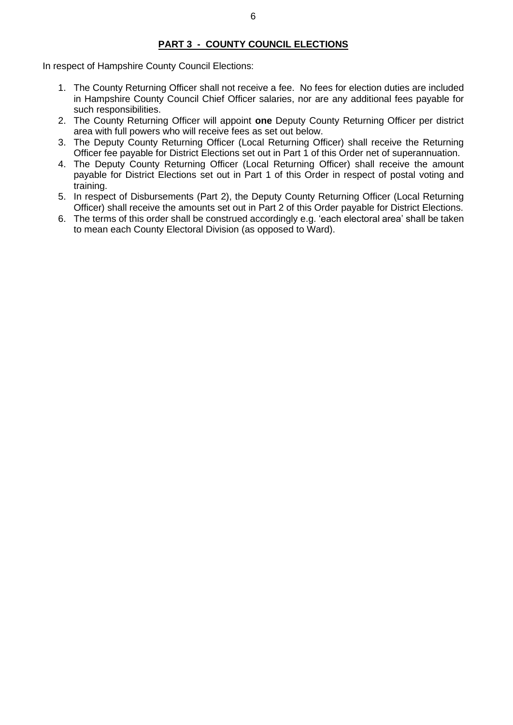## **PART 3 - COUNTY COUNCIL ELECTIONS**

In respect of Hampshire County Council Elections:

- 1. The County Returning Officer shall not receive a fee. No fees for election duties are included in Hampshire County Council Chief Officer salaries, nor are any additional fees payable for such responsibilities.
- 2. The County Returning Officer will appoint **one** Deputy County Returning Officer per district area with full powers who will receive fees as set out below.
- 3. The Deputy County Returning Officer (Local Returning Officer) shall receive the Returning Officer fee payable for District Elections set out in Part 1 of this Order net of superannuation.
- 4. The Deputy County Returning Officer (Local Returning Officer) shall receive the amount payable for District Elections set out in Part 1 of this Order in respect of postal voting and training.
- 5. In respect of Disbursements (Part 2), the Deputy County Returning Officer (Local Returning Officer) shall receive the amounts set out in Part 2 of this Order payable for District Elections.
- 6. The terms of this order shall be construed accordingly e.g. 'each electoral area' shall be taken to mean each County Electoral Division (as opposed to Ward).